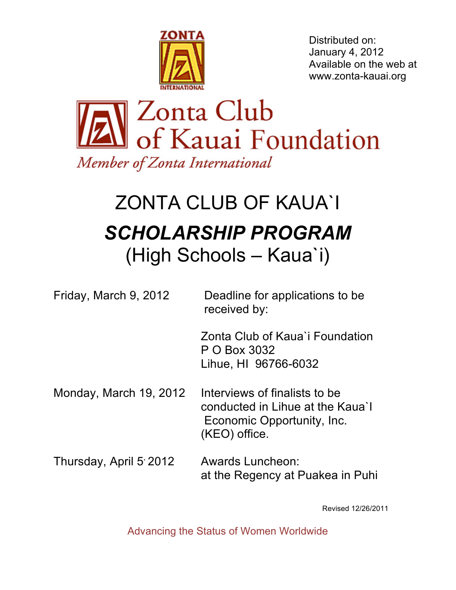

Distributed on: January 4, 2012 Available on the web at www.zonta-kauai.org



# ZONTA CLUB OF KAUA`I *SCHOLARSHIP PROGRAM* (High Schools – Kaua`i)

| Friday, March 9, 2012   | Deadline for applications to be<br>received by:                                                                  |
|-------------------------|------------------------------------------------------------------------------------------------------------------|
|                         | Zonta Club of Kaua'i Foundation<br>P O Box 3032<br>Lihue, HI 96766-6032                                          |
| Monday, March 19, 2012  | Interviews of finalists to be<br>conducted in Lihue at the Kaua'l<br>Economic Opportunity, Inc.<br>(KEO) office. |
| Thursday, April 5' 2012 | <b>Awards Luncheon:</b><br>at the Regency at Puakea in Puhi                                                      |

Revised 12/26/2011

Advancing the Status of Women Worldwide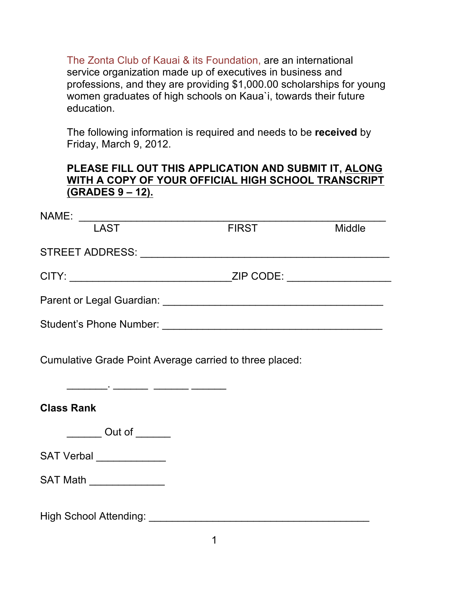The Zonta Club of Kauai & its Foundation, are an international service organization made up of executives in business and professions, and they are providing \$1,000.00 scholarships for young women graduates of high schools on Kaua`i, towards their future education.

The following information is required and needs to be **received** by Friday, March 9, 2012.

### **PLEASE FILL OUT THIS APPLICATION AND SUBMIT IT, ALONG WITH A COPY OF YOUR OFFICIAL HIGH SCHOOL TRANSCRIPT (GRADES 9 – 12).**

| NAME:                                           |                                    |               |
|-------------------------------------------------|------------------------------------|---------------|
| <b>LAST</b>                                     | <b>FIRST</b>                       | <b>Middle</b> |
|                                                 |                                    |               |
|                                                 | ZIP CODE: And All Alberta May 2012 |               |
|                                                 |                                    |               |
| Student's Phone Number: Student's Phone Number: |                                    |               |

Cumulative Grade Point Average carried to three placed:

 $\frac{1}{2}$  ,  $\frac{1}{2}$  ,  $\frac{1}{2}$  ,  $\frac{1}{2}$  ,  $\frac{1}{2}$  ,  $\frac{1}{2}$  ,  $\frac{1}{2}$  ,  $\frac{1}{2}$  ,  $\frac{1}{2}$  ,  $\frac{1}{2}$ 

## **Class Rank**

\_\_\_\_\_\_\_ Out of \_\_\_\_\_\_

SAT Verbal \_\_\_\_\_\_\_\_\_\_\_\_\_

SAT Math

High School Attending: \_\_\_\_\_\_\_\_\_\_\_\_\_\_\_\_\_\_\_\_\_\_\_\_\_\_\_\_\_\_\_\_\_\_\_\_\_\_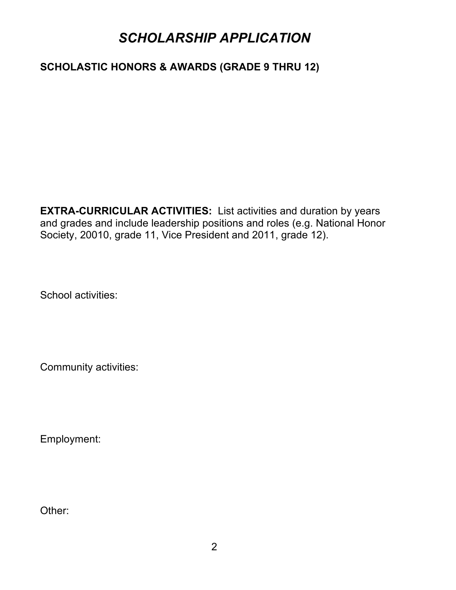# *SCHOLARSHIP APPLICATION*

## **SCHOLASTIC HONORS & AWARDS (GRADE 9 THRU 12)**

**EXTRA-CURRICULAR ACTIVITIES:** List activities and duration by years and grades and include leadership positions and roles (e.g. National Honor Society, 20010, grade 11, Vice President and 2011, grade 12).

School activities:

Community activities:

Employment:

Other: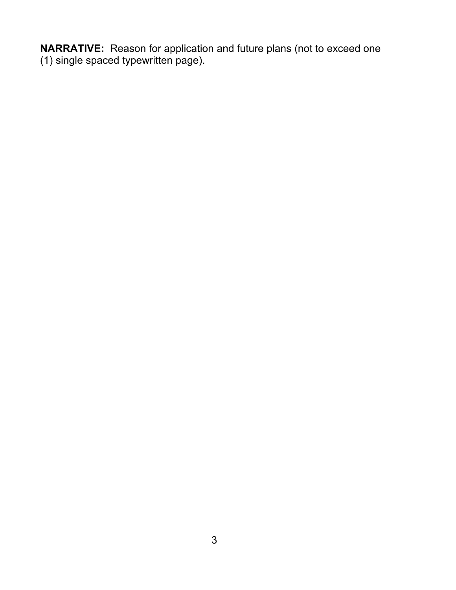**NARRATIVE:** Reason for application and future plans (not to exceed one (1) single spaced typewritten page).